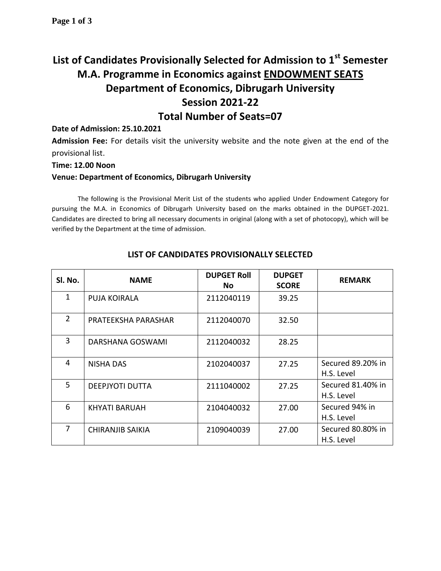# **List of Candidates Provisionally Selected for Admission to 1st Semester M.A. Programme in Economics against ENDOWMENT SEATS Department of Economics, Dibrugarh University Session 2021-22 Total Number of Seats=07**

## **Date of Admission: 25.10.2021**

**Admission Fee:** For details visit the university website and the note given at the end of the provisional list.

#### **Time: 12.00 Noon**

### **Venue: Department of Economics, Dibrugarh University**

The following is the Provisional Merit List of the students who applied Under Endowment Category for pursuing the M.A. in Economics of Dibrugarh University based on the marks obtained in the DUPGET-2021. Candidates are directed to bring all necessary documents in original (along with a set of photocopy), which will be verified by the Department at the time of admission.

| Sl. No.        | <b>NAME</b>             | <b>DUPGET Roll</b><br>No | <b>DUPGET</b><br><b>SCORE</b> | <b>REMARK</b>                   |
|----------------|-------------------------|--------------------------|-------------------------------|---------------------------------|
| 1              | <b>PUJA KOIRALA</b>     | 2112040119               | 39.25                         |                                 |
| $\overline{2}$ | PRATEEKSHA PARASHAR     | 2112040070               | 32.50                         |                                 |
| 3              | DARSHANA GOSWAMI        | 2112040032               | 28.25                         |                                 |
| 4              | <b>NISHA DAS</b>        | 2102040037               | 27.25                         | Secured 89.20% in<br>H.S. Level |
| 5              | <b>DEEPJYOTI DUTTA</b>  | 2111040002               | 27.25                         | Secured 81.40% in<br>H.S. Level |
| 6              | KHYATI BARUAH           | 2104040032               | 27.00                         | Secured 94% in<br>H.S. Level    |
| 7              | <b>CHIRANJIB SAIKIA</b> | 2109040039               | 27.00                         | Secured 80.80% in<br>H.S. Level |

# **LIST OF CANDIDATES PROVISIONALLY SELECTED**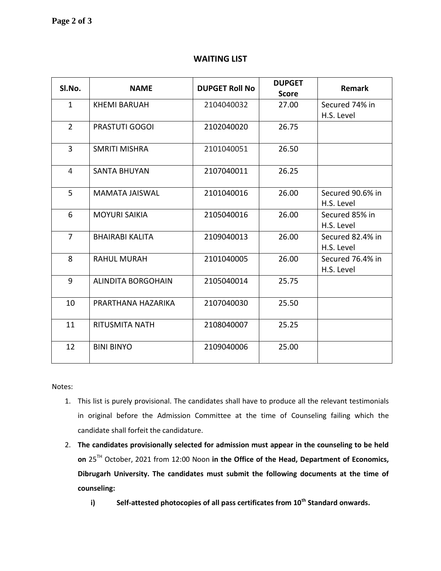# **WAITING LIST**

| SI.No.         | <b>NAME</b>               | <b>DUPGET Roll No</b> | <b>DUPGET</b><br><b>Score</b> | <b>Remark</b>                  |
|----------------|---------------------------|-----------------------|-------------------------------|--------------------------------|
| $\mathbf{1}$   | <b>KHEMI BARUAH</b>       | 2104040032            | 27.00                         | Secured 74% in                 |
|                |                           |                       |                               | H.S. Level                     |
| $\overline{2}$ | <b>PRASTUTI GOGOI</b>     | 2102040020            | 26.75                         |                                |
| 3              | <b>SMRITI MISHRA</b>      | 2101040051            | 26.50                         |                                |
| 4              | <b>SANTA BHUYAN</b>       | 2107040011            | 26.25                         |                                |
| 5              | <b>MAMATA JAISWAL</b>     | 2101040016            | 26.00                         | Secured 90.6% in<br>H.S. Level |
| 6              | <b>MOYURI SAIKIA</b>      | 2105040016            | 26.00                         | Secured 85% in<br>H.S. Level   |
| 7              | <b>BHAIRABI KALITA</b>    | 2109040013            | 26.00                         | Secured 82.4% in<br>H.S. Level |
| 8              | <b>RAHUL MURAH</b>        | 2101040005            | 26.00                         | Secured 76.4% in<br>H.S. Level |
| 9              | <b>ALINDITA BORGOHAIN</b> | 2105040014            | 25.75                         |                                |
| 10             | PRARTHANA HAZARIKA        | 2107040030            | 25.50                         |                                |
| 11             | <b>RITUSMITA NATH</b>     | 2108040007            | 25.25                         |                                |
| 12             | <b>BINI BINYO</b>         | 2109040006            | 25.00                         |                                |

Notes:

- 1. This list is purely provisional. The candidates shall have to produce all the relevant testimonials in original before the Admission Committee at the time of Counseling failing which the candidate shall forfeit the candidature.
- 2. **The candidates provisionally selected for admission must appear in the counseling to be held on** 25TH October, 2021 from 12:00 Noon **in the Office of the Head, Department of Economics, Dibrugarh University. The candidates must submit the following documents at the time of counseling:**
	- **i) Self-attested photocopies of all pass certificates from 10th Standard onwards.**